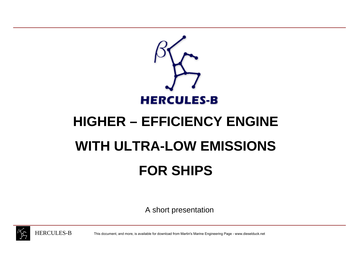

# **HIGHER – EFFICIENCY ENGINE WITH ULTRA-LOW EMISSIONS FOR SHIPS**

A short presentation



This document, and more, is available for download from Martin's Marine Engineering Page - www.dieselduck.net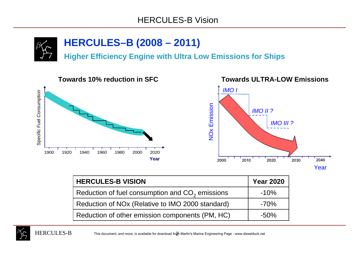

## **HERCULES–B (2008 – 2011)**

**Higher Efficiency Engine with Ultra Low Emissions for Ships**



| <b>HERCULES-B VISION</b>                                     | <b>Year 2020</b> |
|--------------------------------------------------------------|------------------|
| Reduction of fuel consumption and CO <sub>2</sub> emissions  | $-10%$           |
| Reduction of NO <sub>x</sub> (Relative to IMO 2000 standard) | $-70\%$          |
| Reduction of other emission components (PM, HC)              | $-50\%$          |

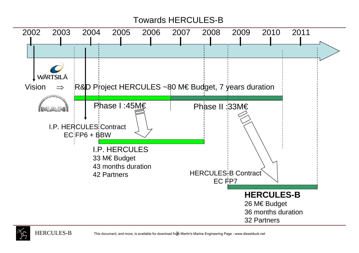### Towards HERCULES-B





 $\, {\bf B} \,$  This document, and more, is available for download from Martin's Marine Engineering Page - www.dieselduck.net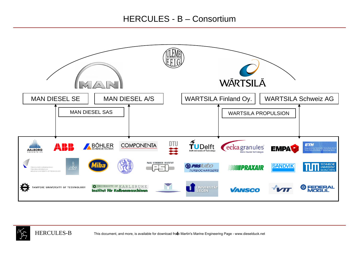

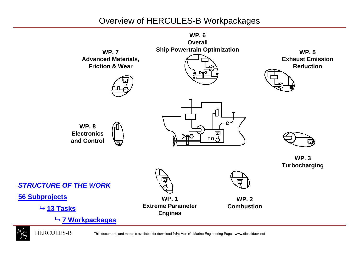### Overview of HERCULES-B Workpackages



**7 Workpackages**



 $\, {\bf B} \,$  This document, and more, is available for download from Martin's Marine Engineering Page - www.dieselduck.net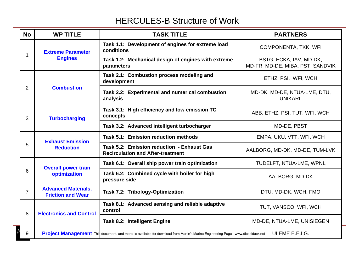### HERCULES-B Structure of Work

| <b>No</b>      | <b>WP TITLE</b>                                        | <b>TASK TITLE</b>                                                                                                                | <b>PARTNERS</b>                                             |
|----------------|--------------------------------------------------------|----------------------------------------------------------------------------------------------------------------------------------|-------------------------------------------------------------|
| 1              | <b>Extreme Parameter</b><br><b>Engines</b>             | Task 1.1: Development of engines for extreme load<br>conditions                                                                  | <b>COMPONENTA, TKK, WFI</b>                                 |
|                |                                                        | Task 1.2: Mechanical design of engines with extreme<br>parameters                                                                | BSTG, ECKA, IAV, MD-DK,<br>MD-FR, MD-DE, MIBA, PST, SANDVIK |
| $\overline{2}$ | <b>Combustion</b>                                      | Task 2.1: Combustion process modeling and<br>development                                                                         | ETHZ, PSI, WFI, WCH                                         |
|                |                                                        | Task 2.2: Experimental and numerical combustion<br>analysis                                                                      | MD-DK, MD-DE, NTUA-LME, DTU,<br><b>UNIKARL</b>              |
| 3              | <b>Turbocharging</b>                                   | Task 3.1: High efficiency and low emission TC<br>concepts                                                                        | ABB, ETHZ, PSI, TUT, WFI, WCH                               |
|                |                                                        | Task 3.2: Advanced intelligent turbocharger                                                                                      | MD-DE, PBST                                                 |
| 5              | <b>Exhaust Emission</b><br><b>Reduction</b>            | Task 5.1: Emission reduction methods                                                                                             | EMPA, UKU, VTT, WFI, WCH                                    |
|                |                                                        | Task 5.2: Emission reduction - Exhaust Gas<br><b>Recirculation and After-treatment</b>                                           | AALBORG, MD-DK, MD-DE, TUM-LVK                              |
| 6              | <b>Overall power train</b><br>optimization             | Task 6.1: Overall ship power train optimization                                                                                  | TUDELFT, NTUA-LME, WPNL                                     |
|                |                                                        | Task 6.2: Combined cycle with boiler for high<br>pressure side                                                                   | AALBORG, MD-DK                                              |
| $\overline{7}$ | <b>Advanced Materials,</b><br><b>Friction and Wear</b> | Task 7.2: Tribology-Optimization                                                                                                 | DTU, MD-DK, WCH, FMO                                        |
| 8              | <b>Electronics and Control</b>                         | Task 8.1: Advanced sensing and reliable adaptive<br>control                                                                      | TUT, VANSCO, WFI, WCH                                       |
|                |                                                        | <b>Task 8.2: Intelligent Engine</b>                                                                                              | MD-DE, NTUA-LME, UNISIEGEN                                  |
| 9              |                                                        | Project Management This document, and more, is available for download from Martin's Marine Engineering Page - www.dieselduck.net | ULEME E.E.I.G.                                              |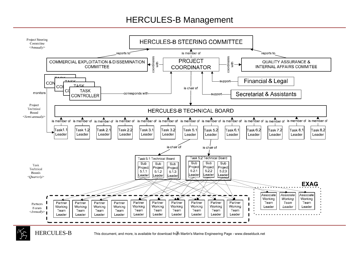#### HERCULES-B Management